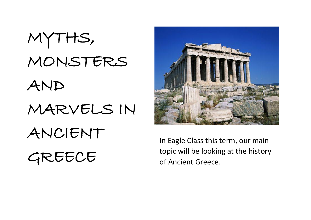MYTHS, MONSTERS AND MARVELS IN ANCIENT GREECE



In Eagle Class this term, our main topic will be looking at the history of Ancient Greece.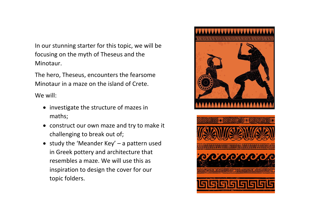In our stunning starter for this topic, we will be focusing on the myth of Theseus and the Minotaur.

The hero, Theseus, encounters the fearsome Minotaur in a maze on the island of Crete.

We will:

- investigate the structure of mazes in maths;
- construct our own maze and try to make it challenging to break out of;
- study the 'Meander Key' a pattern used in Greek pottery and architecture that resembles a maze. We will use this as inspiration to design the cover for our topic folders.





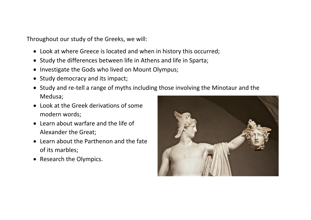Throughout our study of the Greeks, we will:

- Look at where Greece is located and when in history this occurred;
- Study the differences between life in Athens and life in Sparta;
- Investigate the Gods who lived on Mount Olympus;
- Study democracy and its impact;
- Study and re-tell a range of myths including those involving the Minotaur and the Medusa;
- Look at the Greek derivations of some modern words;
- Learn about warfare and the life of Alexander the Great;
- Learn about the Parthenon and the fate of its marbles;
- Research the Olympics.